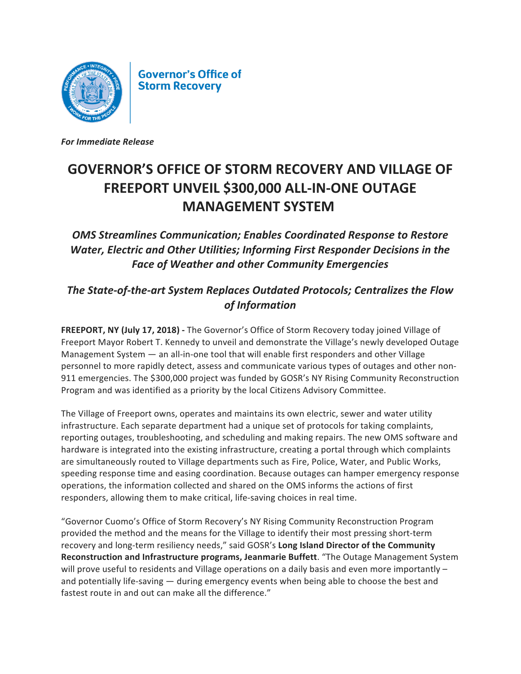

**Governor's Office of Storm Recovery** 

*For Immediate Release*

## GOVERNOR'S OFFICE OF STORM RECOVERY AND VILLAGE OF **FREEPORT UNVEIL \$300,000 ALL-IN-ONE OUTAGE MANAGEMENT SYSTEM**

**OMS Streamlines Communication; Enables Coordinated Response to Restore Water, Electric and Other Utilities; Informing First Responder Decisions in the** *Face of Weather and other Community Emergencies*

## The State-of-the-art System Replaces Outdated Protocols; Centralizes the Flow *of Information*

**FREEPORT, NY (July 17, 2018)** - The Governor's Office of Storm Recovery today joined Village of Freeport Mayor Robert T. Kennedy to unveil and demonstrate the Village's newly developed Outage Management System  $-$  an all-in-one tool that will enable first responders and other Village personnel to more rapidly detect, assess and communicate various types of outages and other non-911 emergencies. The \$300,000 project was funded by GOSR's NY Rising Community Reconstruction Program and was identified as a priority by the local Citizens Advisory Committee.

The Village of Freeport owns, operates and maintains its own electric, sewer and water utility infrastructure. Each separate department had a unique set of protocols for taking complaints, reporting outages, troubleshooting, and scheduling and making repairs. The new OMS software and hardware is integrated into the existing infrastructure, creating a portal through which complaints are simultaneously routed to Village departments such as Fire, Police, Water, and Public Works, speeding response time and easing coordination. Because outages can hamper emergency response operations, the information collected and shared on the OMS informs the actions of first responders, allowing them to make critical, life-saving choices in real time.

"Governor Cuomo's Office of Storm Recovery's NY Rising Community Reconstruction Program provided the method and the means for the Village to identify their most pressing short-term recovery and long-term resiliency needs," said GOSR's Long Island Director of the Community **Reconstruction and Infrastructure programs, Jeanmarie Buffett**. "The Outage Management System will prove useful to residents and Village operations on a daily basis and even more importantly  $$ and potentially life-saving — during emergency events when being able to choose the best and fastest route in and out can make all the difference."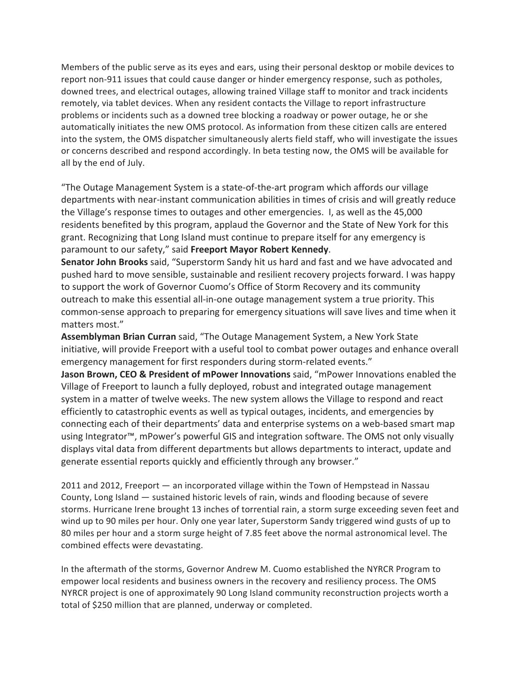Members of the public serve as its eves and ears, using their personal desktop or mobile devices to report non-911 issues that could cause danger or hinder emergency response, such as potholes, downed trees, and electrical outages, allowing trained Village staff to monitor and track incidents remotely, via tablet devices. When any resident contacts the Village to report infrastructure problems or incidents such as a downed tree blocking a roadway or power outage, he or she automatically initiates the new OMS protocol. As information from these citizen calls are entered into the system, the OMS dispatcher simultaneously alerts field staff, who will investigate the issues or concerns described and respond accordingly. In beta testing now, the OMS will be available for all by the end of July.

"The Outage Management System is a state-of-the-art program which affords our village departments with near-instant communication abilities in times of crisis and will greatly reduce the Village's response times to outages and other emergencies. I, as well as the 45,000 residents benefited by this program, applaud the Governor and the State of New York for this grant. Recognizing that Long Island must continue to prepare itself for any emergency is paramount to our safety," said Freeport Mayor Robert Kennedy.

**Senator John Brooks** said, "Superstorm Sandy hit us hard and fast and we have advocated and pushed hard to move sensible, sustainable and resilient recovery projects forward. I was happy to support the work of Governor Cuomo's Office of Storm Recovery and its community outreach to make this essential all-in-one outage management system a true priority. This common-sense approach to preparing for emergency situations will save lives and time when it matters most."

Assemblyman Brian Curran said, "The Outage Management System, a New York State initiative, will provide Freeport with a useful tool to combat power outages and enhance overall emergency management for first responders during storm-related events."

**Jason Brown, CEO & President of mPower Innovations** said, "mPower Innovations enabled the Village of Freeport to launch a fully deployed, robust and integrated outage management system in a matter of twelve weeks. The new system allows the Village to respond and react efficiently to catastrophic events as well as typical outages, incidents, and emergencies by connecting each of their departments' data and enterprise systems on a web-based smart map using Integrator<sup> $m$ </sup>, mPower's powerful GIS and integration software. The OMS not only visually displays vital data from different departments but allows departments to interact, update and generate essential reports quickly and efficiently through any browser."

 $2011$  and  $2012$ , Freeport  $-$  an incorporated village within the Town of Hempstead in Nassau County, Long Island  $-$  sustained historic levels of rain, winds and flooding because of severe storms. Hurricane Irene brought 13 inches of torrential rain, a storm surge exceeding seven feet and wind up to 90 miles per hour. Only one year later, Superstorm Sandy triggered wind gusts of up to 80 miles per hour and a storm surge height of 7.85 feet above the normal astronomical level. The combined effects were devastating.

In the aftermath of the storms, Governor Andrew M. Cuomo established the NYRCR Program to empower local residents and business owners in the recovery and resiliency process. The OMS NYRCR project is one of approximately 90 Long Island community reconstruction projects worth a total of \$250 million that are planned, underway or completed.